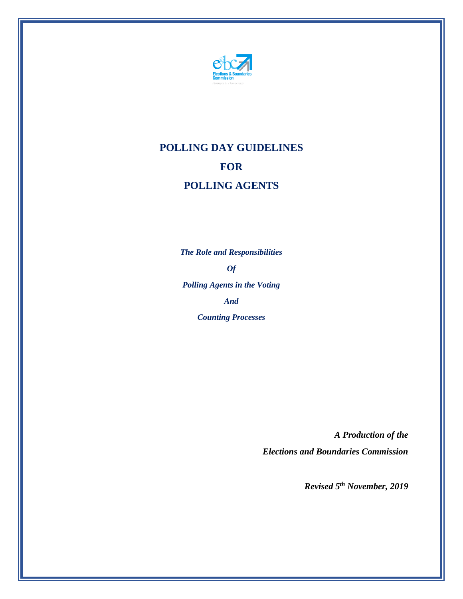

# **POLLING DAY GUIDELINES FOR POLLING AGENTS**

*The Role and Responsibilities Of Polling Agents in the Voting And Counting Processes*

> *A Production of the Elections and Boundaries Commission*

> > *Revised 5 th November, 2019*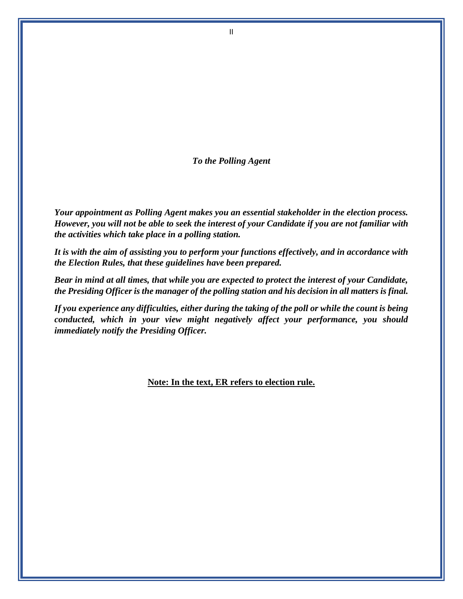*To the Polling Agent*

*Your appointment as Polling Agent makes you an essential stakeholder in the election process. However, you will not be able to seek the interest of your Candidate if you are not familiar with the activities which take place in a polling station.* 

*It is with the aim of assisting you to perform your functions effectively, and in accordance with the Election Rules, that these guidelines have been prepared.*

*Bear in mind at all times, that while you are expected to protect the interest of your Candidate, the Presiding Officer is the manager of the polling station and his decision in all matters is final.* 

*If you experience any difficulties, either during the taking of the poll or while the count is being conducted, which in your view might negatively affect your performance, you should immediately notify the Presiding Officer.* 

#### **Note: In the text, ER refers to election rule.**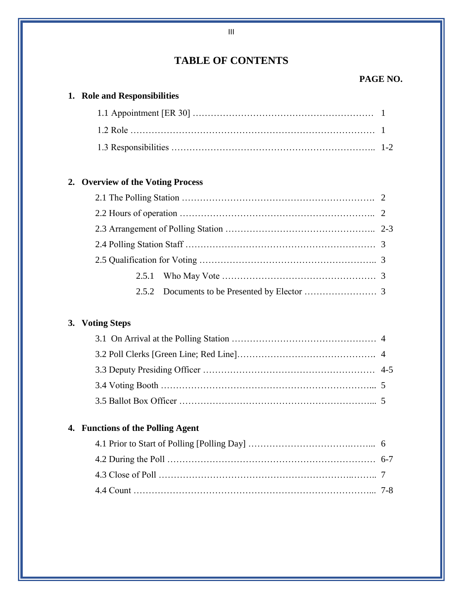## **TABLE OF CONTENTS**

#### **PAGE NO.**

## **1. Role and Responsibilities**

## **2. Overview of the Voting Process**

## **3. Voting Steps**

## **4. Functions of the Polling Agent**

III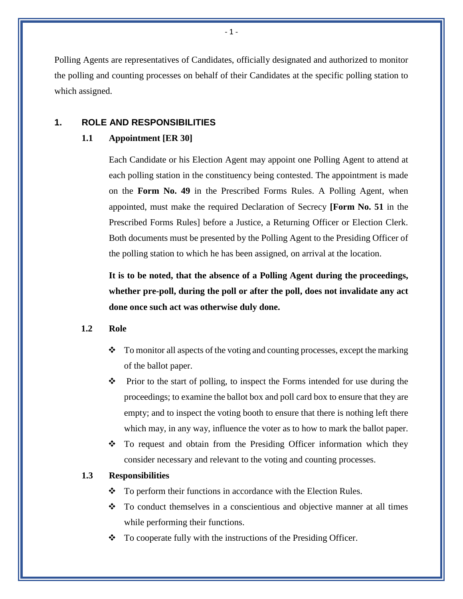Polling Agents are representatives of Candidates, officially designated and authorized to monitor the polling and counting processes on behalf of their Candidates at the specific polling station to which assigned.

#### **1. ROLE AND RESPONSIBILITIES**

#### **1.1 Appointment [ER 30]**

Each Candidate or his Election Agent may appoint one Polling Agent to attend at each polling station in the constituency being contested. The appointment is made on the **Form No. 49** in the Prescribed Forms Rules. A Polling Agent, when appointed, must make the required Declaration of Secrecy **[Form No. 51** in the Prescribed Forms Rules] before a Justice, a Returning Officer or Election Clerk. Both documents must be presented by the Polling Agent to the Presiding Officer of the polling station to which he has been assigned, on arrival at the location.

**It is to be noted, that the absence of a Polling Agent during the proceedings, whether pre-poll, during the poll or after the poll, does not invalidate any act done once such act was otherwise duly done.** 

#### **1.2 Role**

- $\div$  To monitor all aspects of the voting and counting processes, except the marking of the ballot paper.
- $\mathbf{\hat{P}}$  Prior to the start of polling, to inspect the Forms intended for use during the proceedings; to examine the ballot box and poll card box to ensure that they are empty; and to inspect the voting booth to ensure that there is nothing left there which may, in any way, influence the voter as to how to mark the ballot paper.
- $\div$  To request and obtain from the Presiding Officer information which they consider necessary and relevant to the voting and counting processes.

#### **1.3 Responsibilities**

- To perform their functions in accordance with the Election Rules.
- $\cdot \cdot$  To conduct themselves in a conscientious and objective manner at all times while performing their functions.
- $\bullet$  To cooperate fully with the instructions of the Presiding Officer.

- 1 -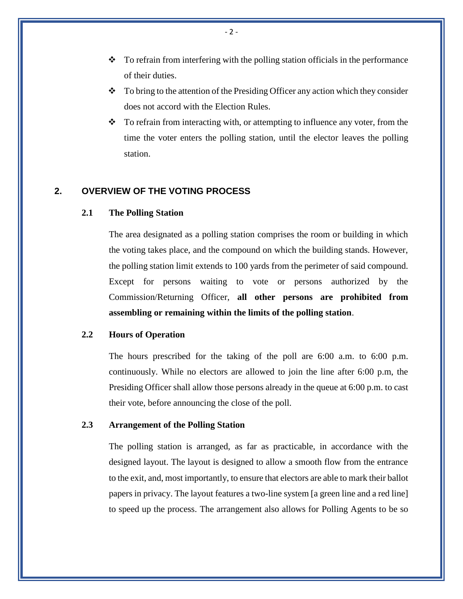- $\bullet$  To refrain from interfering with the polling station officials in the performance of their duties.
- $\bullet$  To bring to the attention of the Presiding Officer any action which they consider does not accord with the Election Rules.
- $\bullet$  To refrain from interacting with, or attempting to influence any voter, from the time the voter enters the polling station, until the elector leaves the polling station.

#### **2. OVERVIEW OF THE VOTING PROCESS**

#### **2.1 The Polling Station**

The area designated as a polling station comprises the room or building in which the voting takes place, and the compound on which the building stands. However, the polling station limit extends to 100 yards from the perimeter of said compound. Except for persons waiting to vote or persons authorized by the Commission/Returning Officer, **all other persons are prohibited from assembling or remaining within the limits of the polling station**.

#### **2.2 Hours of Operation**

The hours prescribed for the taking of the poll are 6:00 a.m. to 6:00 p.m. continuously. While no electors are allowed to join the line after 6:00 p.m, the Presiding Officer shall allow those persons already in the queue at 6:00 p.m. to cast their vote, before announcing the close of the poll.

#### **2.3 Arrangement of the Polling Station**

The polling station is arranged, as far as practicable, in accordance with the designed layout. The layout is designed to allow a smooth flow from the entrance to the exit, and, most importantly, to ensure that electors are able to mark their ballot papers in privacy. The layout features a two-line system [a green line and a red line] to speed up the process. The arrangement also allows for Polling Agents to be so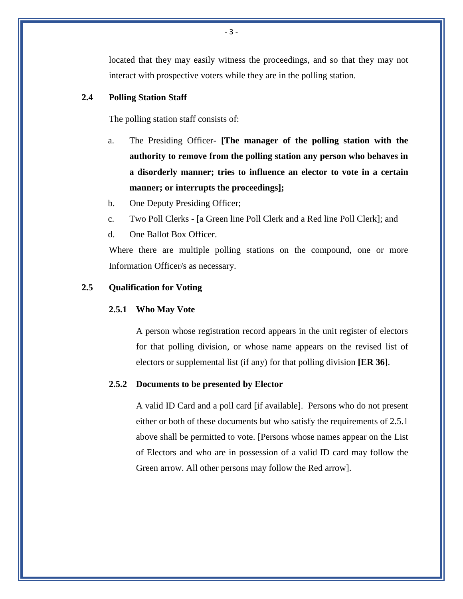located that they may easily witness the proceedings, and so that they may not interact with prospective voters while they are in the polling station.

#### **2.4 Polling Station Staff**

The polling station staff consists of:

- a. The Presiding Officer- **[The manager of the polling station with the authority to remove from the polling station any person who behaves in a disorderly manner; tries to influence an elector to vote in a certain manner; or interrupts the proceedings];**
- b. One Deputy Presiding Officer;
- c. Two Poll Clerks [a Green line Poll Clerk and a Red line Poll Clerk]; and
- d. One Ballot Box Officer.

Where there are multiple polling stations on the compound, one or more Information Officer/s as necessary.

#### **2.5 Qualification for Voting**

#### **2.5.1 Who May Vote**

A person whose registration record appears in the unit register of electors for that polling division, or whose name appears on the revised list of electors or supplemental list (if any) for that polling division **[ER 36]**.

#### **2.5.2 Documents to be presented by Elector**

A valid ID Card and a poll card [if available]. Persons who do not present either or both of these documents but who satisfy the requirements of 2.5.1 above shall be permitted to vote. [Persons whose names appear on the List of Electors and who are in possession of a valid ID card may follow the Green arrow. All other persons may follow the Red arrow].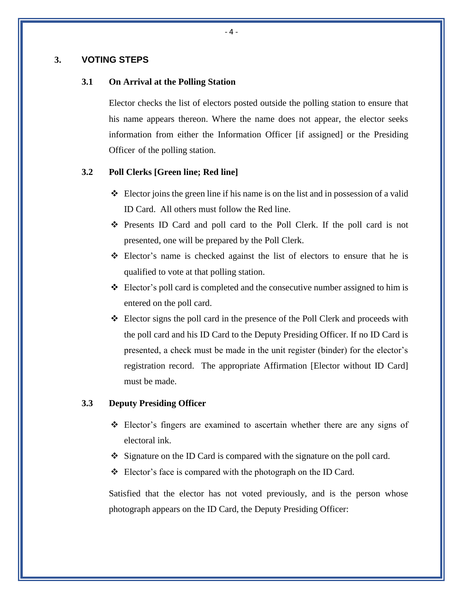#### **3. VOTING STEPS**

#### **3.1 On Arrival at the Polling Station**

Elector checks the list of electors posted outside the polling station to ensure that his name appears thereon. Where the name does not appear, the elector seeks information from either the Information Officer [if assigned] or the Presiding Officer of the polling station.

#### **3.2 Poll Clerks [Green line; Red line]**

- $\triangleleft$  Elector joins the green line if his name is on the list and in possession of a valid ID Card. All others must follow the Red line.
- Presents ID Card and poll card to the Poll Clerk. If the poll card is not presented, one will be prepared by the Poll Clerk.
- Elector's name is checked against the list of electors to ensure that he is qualified to vote at that polling station.
- $\triangle$  Elector's poll card is completed and the consecutive number assigned to him is entered on the poll card.
- Elector signs the poll card in the presence of the Poll Clerk and proceeds with the poll card and his ID Card to the Deputy Presiding Officer. If no ID Card is presented, a check must be made in the unit register (binder) for the elector's registration record. The appropriate Affirmation [Elector without ID Card] must be made.

#### **3.3 Deputy Presiding Officer**

- $\div$  Elector's fingers are examined to ascertain whether there are any signs of electoral ink.
- $\bullet$  Signature on the ID Card is compared with the signature on the poll card.
- Elector's face is compared with the photograph on the ID Card.

Satisfied that the elector has not voted previously, and is the person whose photograph appears on the ID Card, the Deputy Presiding Officer: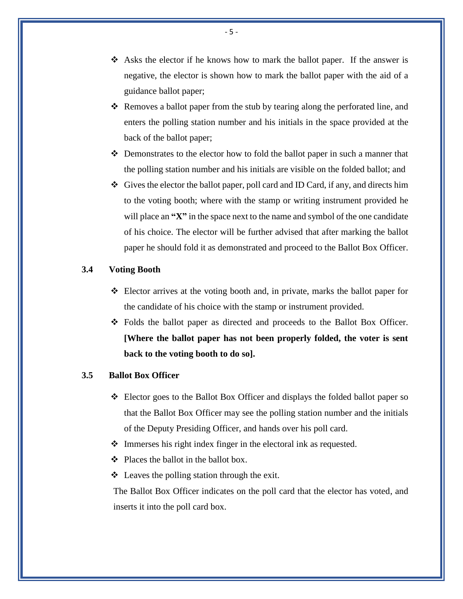- $\triangle$  Asks the elector if he knows how to mark the ballot paper. If the answer is negative, the elector is shown how to mark the ballot paper with the aid of a guidance ballot paper;
- Removes a ballot paper from the stub by tearing along the perforated line, and enters the polling station number and his initials in the space provided at the back of the ballot paper;
- Demonstrates to the elector how to fold the ballot paper in such a manner that the polling station number and his initials are visible on the folded ballot; and
- $\bullet$  Gives the elector the ballot paper, poll card and ID Card, if any, and directs him to the voting booth; where with the stamp or writing instrument provided he will place an "X" in the space next to the name and symbol of the one candidate of his choice. The elector will be further advised that after marking the ballot paper he should fold it as demonstrated and proceed to the Ballot Box Officer.

#### **3.4 Voting Booth**

- Elector arrives at the voting booth and, in private, marks the ballot paper for the candidate of his choice with the stamp or instrument provided.
- Folds the ballot paper as directed and proceeds to the Ballot Box Officer. **[Where the ballot paper has not been properly folded, the voter is sent back to the voting booth to do so].**

#### **3.5 Ballot Box Officer**

- $\div$  Elector goes to the Ballot Box Officer and displays the folded ballot paper so that the Ballot Box Officer may see the polling station number and the initials of the Deputy Presiding Officer, and hands over his poll card.
- Immerses his right index finger in the electoral ink as requested.
- $\div$  Places the ballot in the ballot box.
- $\triangleleft$  Leaves the polling station through the exit.

The Ballot Box Officer indicates on the poll card that the elector has voted, and inserts it into the poll card box.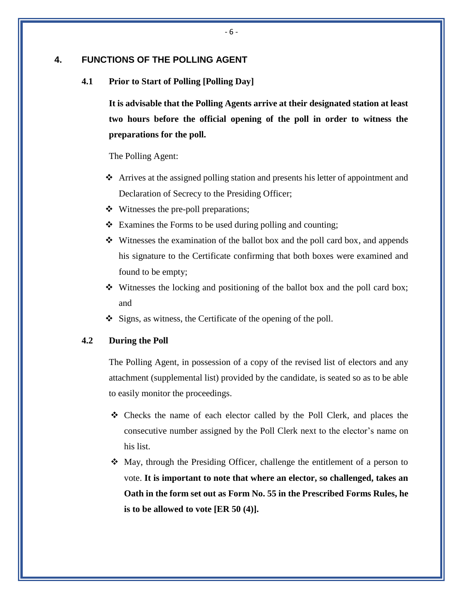#### **4. FUNCTIONS OF THE POLLING AGENT**

**4.1 Prior to Start of Polling [Polling Day]**

**It is advisable that the Polling Agents arrive at their designated station at least two hours before the official opening of the poll in order to witness the preparations for the poll.**

The Polling Agent:

- Arrives at the assigned polling station and presents his letter of appointment and Declaration of Secrecy to the Presiding Officer;
- Witnesses the pre-poll preparations;
- $\triangle$  Examines the Forms to be used during polling and counting;
- $\div$  Witnesses the examination of the ballot box and the poll card box, and appends his signature to the Certificate confirming that both boxes were examined and found to be empty;
- $\div$  Witnesses the locking and positioning of the ballot box and the poll card box; and
- $\div$  Signs, as witness, the Certificate of the opening of the poll.

#### **4.2 During the Poll**

The Polling Agent, in possession of a copy of the revised list of electors and any attachment (supplemental list) provided by the candidate, is seated so as to be able to easily monitor the proceedings.

- $\div$  Checks the name of each elector called by the Poll Clerk, and places the consecutive number assigned by the Poll Clerk next to the elector's name on his list.
- May, through the Presiding Officer, challenge the entitlement of a person to vote. **It is important to note that where an elector, so challenged, takes an Oath in the form set out as Form No. 55 in the Prescribed Forms Rules, he is to be allowed to vote [ER 50 (4)].**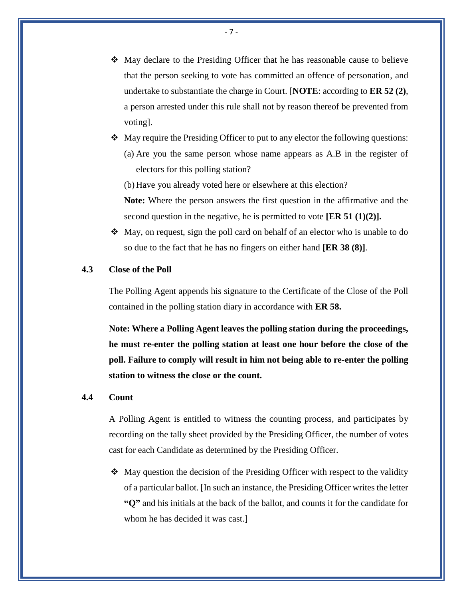- May declare to the Presiding Officer that he has reasonable cause to believe that the person seeking to vote has committed an offence of personation, and undertake to substantiate the charge in Court. [**NOTE**: according to **ER 52 (2)**, a person arrested under this rule shall not by reason thereof be prevented from voting].
- $\triangleleft$  May require the Presiding Officer to put to any elector the following questions: (a) Are you the same person whose name appears as A.B in the register of electors for this polling station?

(b) Have you already voted here or elsewhere at this election?

**Note:** Where the person answers the first question in the affirmative and the second question in the negative, he is permitted to vote **[ER 51 (1)(2)].**

 $\triangle$  May, on request, sign the poll card on behalf of an elector who is unable to do so due to the fact that he has no fingers on either hand **[ER 38 (8)]**.

#### **4.3 Close of the Poll**

The Polling Agent appends his signature to the Certificate of the Close of the Poll contained in the polling station diary in accordance with **ER 58.**

**Note: Where a Polling Agent leaves the polling station during the proceedings, he must re-enter the polling station at least one hour before the close of the poll. Failure to comply will result in him not being able to re-enter the polling station to witness the close or the count.**

#### **4.4 Count**

A Polling Agent is entitled to witness the counting process, and participates by recording on the tally sheet provided by the Presiding Officer, the number of votes cast for each Candidate as determined by the Presiding Officer.

 $\triangleleft$  May question the decision of the Presiding Officer with respect to the validity of a particular ballot. [In such an instance, the Presiding Officer writes the letter **"Q"** and his initials at the back of the ballot, and counts it for the candidate for whom he has decided it was cast.]